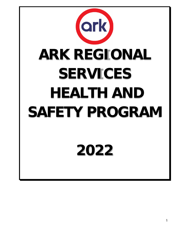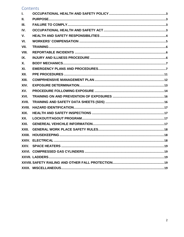# Contents

| $\mathbf{L}$ |  |
|--------------|--|
| II.          |  |
| III.         |  |
| IV.          |  |
| $V_{\cdot}$  |  |
| VI.          |  |
| VII.         |  |
| VIII.        |  |
| IX.          |  |
| <b>X.</b>    |  |
| XI.          |  |
| XII.         |  |
| XIII.        |  |
| XIV.         |  |
| XV.          |  |
| XVI.         |  |
| XVII.        |  |
| XVIII.       |  |
| XIX.         |  |
| XX.          |  |
| XXI.         |  |
| XXII.        |  |
|              |  |
|              |  |
|              |  |
|              |  |
|              |  |
|              |  |
|              |  |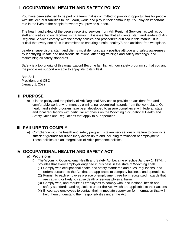# <span id="page-2-0"></span>**I. OCCUPATIONAL HEALTH AND SAFETY POLICY**

You have been selected to be part of a team that is committed to providing opportunities for people with intellectual disabilities to live, learn, work, and play in their community. You play an important role in the lives of the people for whom you provide support.

The health and safety of the people receiving services from Ark Regional Services, as well as our staff and visitors to our facilities, is paramount. It is essential that all clients, staff, and leaders of Ark Regional Services comply with the safety policies and procedures outlined in this manual. It is critical that every one of us is committed to ensuring a safe, healthy7, and accident-free workplace.

Leaders, supervisors, staff, and clients must demonstrate a positive attitude and safety awareness by identifying unsafe and hazardous situations, attending trainings and safety meetings, and maintaining all safety standards.

Safety is a top priority of this organization! Become familiar with our safety program so that you and the people we support are able to enjoy life to its fullest.

Bob Sell President and CEO January 1, 2022

### <span id="page-2-1"></span>**II. PURPOSE**

a) It is the policy and top priority of Ark Regional Services to provide an accident-free and comfortable work environment by eliminating recognized hazards from the work place. Our health and safety program have been developed to assure compliance with federal, state, and local regulations with particular emphasis on the Wyoming Occupational Health and Safety Rules and Regulations that apply to our operation.

### <span id="page-2-2"></span>**III. FAILURE TO COMPLY**

a) Compliance with the health and safety program is taken very seriously. Failure to comply is sufficient grounds for disciplinary action up to and including termination of employment. These policies are an integral part of Ark's personnel policies.

### <span id="page-2-3"></span>**IV. OCCUPATIONAL HEALTH AND SAFETY ACT**

#### a) **Provisions**

- i) The Wyoming Occupational Health and Safety Act became effective January 1, 1974. It provides that every employer engaged in business in the state of Wyoming shall:
	- (1) Comply with occupational health and safety standards and rules, regulations, and orders pursuant to the Act that are applicable to company business and operations.
	- (2) Furnish to each employee a place of employment free from recognized hazards that are causing or likely to cause death or serious physical harm.
	- (3) Comply with, and require all employees to comply with, occupational health and safety standards, and regulations under the Act, which are applicable to their actions.
	- (4) Encourage employees to contact their immediate supervisor for information that will help them understand their responsibilities under the Act.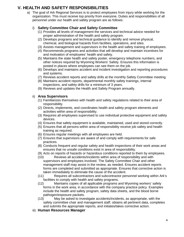# <span id="page-3-0"></span>**V. HEALTH AND SAFETY RESPONSIBILITIES**

a) The goal of Ark Regional Services is to protect employees from injury while working for the organization. This must receive top priority from everyone. Duties and responsibilities of all personnel under our health and safety program are as follows:

### i) **Safety Committee Chair and Safety Committee**

- (1) Provides all levels of management the services and technical advice needed for proper administration of the health and safety program.
- (2) Develops programs and technical guidance to identify and remove physical, chemical, and biological hazards from facilities, operations, and sites.
- (3) Assists management and supervisors in the health and safety training of employees.
- (4) Recommends programs and activities that will develop and maintain incentives for and motivation of employees' health and safety.
- (5) Maintains the state health and safety poster, emergency telephone numbers, and other notices required by Wyoming Workers' Safety. Ensures this information is posted in places where employees can see them on the job.
- (6) Develops and maintains accident and incident investigation and reporting procedures and systems.
- (7) Reviews accident reports and safety drills at the monthly Safety Committee meeting.
- (8) Maintains accident reports, departmental monthly safety trainings, internal inspections, and safety drills for a minimum of 3 years.
- (9) Reviews and updates the Health and Safety Program annually.

### ii) **Area Supervisors**

- (1) Familiarizes themselves with health and safety regulations related to their area of responsibility.
- (2) Directs, implements, and coordinates health and safety program elements and activities within area of responsibility.
- (3) Requires all employees supervised to use individual protective equipment and safety devices.
- (4) Ensures that safety equipment is available, maintained, used and stored correctly.
- (5) Ensures that all persons within area of responsibility receive job safety and health training as required.
- (6) Ensures regular meetings with all employees are held.
- (7) Ensures that supervisors are aware of and comply with requirements for safe practices.
- (8) Conducts frequent and regular safety and health inspections of their work areas and ensures that no unsafe conditions exist in area of responsibility.
- (9) Acts on reports of hazards or hazardous conditions reported to them by employees.
- (10) Reviews all accidents/incidents within area of responsibility and with supervisors and employees involved. The Safety Committee Chair and other management staff may assist in the review, as needed. Ensures accident reports forms are completed and submitted as appropriate. Ensures that corrective action is taken immediately to eliminate the cause of the accident.
- (11) Requires all subcontractors and subcontractor personnel working within Ark's facilities to comply with health and safety programs.
- (12) Maintains copies of all applicable programs and Wyoming workers' safety forms in the work area, in accordance with the company practice policy. Examples include the health and safety program, safety data sheets, and the blood borne pathogen/exposure packets.
- (13) May be asked to investigate accidents/incidents, as appropriate, with the safety committee chair and management staff, obtains all pertinent data, completes and submits the appropriate reports, and initiates/takes corrective action.
- iii) **Human Resources Manager**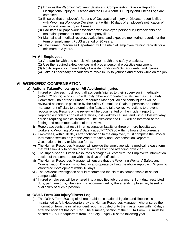- (1) Ensures the Wyoming Workers' Safety and Compensation Division Report of Occupational Injury or Disease and the OSHA form 300 Injury and Illness Logs are complete.
- (2) Ensures that employee's Reports of Occupational Injury or Disease report is filed with Wyoming Workforce Development within 10 days of employee's notification of an occupational injury or disease.
- (3) Facilitates all paperwork associated with employee personal injury/accidents and maintains permanent record of company files.
- (4) Maintains all medical records, evaluations, and exposure monitoring records for the term of employment PLUS a period of 30 years.
- (5) The Human Resources Department will maintain all employee training records for a minimum of 3 years.

#### iv) **All Employees**

- (1) Are familiar with and comply with proper health and safety practices.
- (2) Use the required safety devices and proper personal protective equipment.
- (3) Notify supervisor immediately of unsafe conditions/acts, accidents, and injuries.
- (4) Take all necessary precautions to avoid injury to yourself and others while on the job.

### <span id="page-4-0"></span>**VI. WORKERS' COMPENSATION**

#### a) **Actions Taken/Follow-up on All Accidents/Injuries**

- i) Injured employees must report all accidents/injuries to their supervisor immediately (within 72 hours), who in turn will notify other appropriate officials, such as the Safety Committee Chair or the Human Resources Manager. All accidents/injuries will be reviewed as soon as possible by the Safety Committee Chair, supervisor, and other management officials to determine the facts and take corrective actions to prevent reoccurrence. Results of the review will be documented on the incident report form. Reportable incidents consist of fatalities, lost workday causes, and without lost workday causes requiring medical treatment. The President and CEO will be informed of the finding and recommendations of the review.
- ii) Report accidents that result in an occupation fatality or three or more hospitalized workers to Wyoming Workers' Safety at 307-777-7786 within 8 hours of occurrence.
- iii) Employees, within 10 days after notification to the employer, must complete the Worker Information section only of the Workers' Safety and Compensation Report of Occupational Injury or Disease forms.
- iv) The Human Resources Manager will provide the employee with a medical release form that will allow Ark to obtain medical records from the attending physician.
- v) The supervisor or Human Resources Manager will complete the Employer's Information section of the same report within 10 days of notification.
- vi) The Human Resources Manager will ensure that the Wyoming Workers' Safety and Compensation Division is notified as appropriate by filing the above report with Wyoming Workforce Development within 10 days.
- vii) The accident investigation should recommend the claim as compensable or as not compensable.
- viii) Injured employees will be entered into a modified job program, i.e. light duty, restricted duty, part time duty, when such is recommended by the attending physician, based on availability of such a position.

### b) **OSHA Form 300 Injury/Illness Log**

i) The OSHA Form 300 log of all recordable occupational injuries and illnesses is maintained at Ark Headquarters by the Human Resources Manager, who ensures the information from the initial accident report is posted onto the master form within 6 days after the accident has occurred. The summary section of the OSHA Form 300 must be posted at Ark Headquarters from February 1-April 30 of the following year.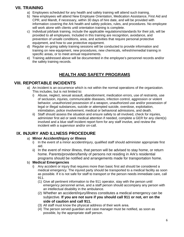# **VII. TRAINING**

- <span id="page-5-0"></span>a) Employees scheduled for any health and safety training will attend such training.
- b) New employees will attend New Employee Orientation, Medication Assistance, First Aid and CPR, and Mandt, if necessary, within 30 days of hire date, and will be provided with information covering the Ark health and safety policies, rules, and procedures. No employee will work alone with clients until orientation training is complete.
- c) Individual job/task training, include the applicable regulations/standards for their job, will be provided to all employees. Included in this training are recognition, avoidance, and prevention of unsafe conditions, area, and activities that require personal protective equipment, and how to use protective equipment.
- d) Regular on-going safety training sessions will be conducted to provide information and training on new equipment, new procedures, new chemicals, refresh/remedial training in specific areas, or to meet annual requirements.
- e) Training addressed above will be documented in the employee's personnel records and/or the safety training records.

# **HEALTH AND SAFETY PROGRAMS**

### <span id="page-5-1"></span>**VIII. REPORTABLE INCIDENTS**

- a) An incident is an occurrence which is not within the normal operations of the organization. This includes, but is not limited to:
	- i) Abuse, neglect, sexual assault, abandonment, medication errors, use of restraints, use of seclusion, injuries, communicable diseases, infection control, aggression or violent behavior, unauthorized possession of a weapon, unauthorized use and/or possession of legal or illegal substances, suicide or attempted suicide, overdose, exploitation, intimidation, police involvement, medical or behavioral admissions, and death.
	- ii) Staff should assess the situation and ensure safety to all involved, check for injuries, administer first aid or seek medical attention if needed, complete a GER for any client(s) involved and a blue staff incident report form for any staff involve, and review the incident with a supervisor and/or on-call.

# <span id="page-5-2"></span>**IX. INJURY AND ILLNESS PROCEDURE**

### a) **Minor Accident/Injury or Illness**

- i) In the event of a minor accident/injury, qualified staff should administer appropriate first aid.
- ii) In the event of minor illness, that person will be advised to stay home, or return home. Parents/providers/family of persons not residing in Ark's residential programs should be notified and arrangements made for transportation home.

### b) **Medical Emergencies**

- i) Any accident or injury that requires more than basic first aid should be considered a medical emergency. The injured party should be transported to a medical facility as soon as possible. If it is not safe for staff to transport or the person needs immediate care, call 911.
	- (1) Give all pertinent information to the 911 operator, stay with the person until emergency personnel arrive, and a staff person should accompany any person with an intellectual disability in the ambulance.
	- (2) Whether an accident/injury/illness constitutes a medical emergency can be subjective. **If you are not sure if you should call 911 or not, err on the side of caution and call 911.**
	- (3) All staff must know the physical address of their work area.
	- (4) The person served guardian and case manager must be notified, as soon as possible, by the appropriate staff person.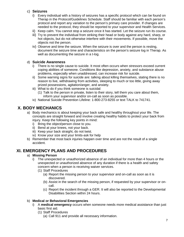### c) **Seizures**

- i) Every individual with a history of seizures has a specific protocol which can be found on Therap in the Protocol/Guidelines Schedule. Staff should be familiar with each person's protocol and report any variation to the person's primary care provider. If changes are needed to the protocol, they should be reported to your supervisor and Health Services.
- ii) Keep calm. You cannot stop a seizure once it has started. Let the seizure run its course.
- iii) Try to prevent the individual from striking their head or body against any hard, sharp, or hot objects, but do not otherwise interfere with their movements. If possible, move the objects not the person.
- iv) Observe and time the seizure. When the seizure is over and the person is resting, document the seizure time and characteristics on the person's seizure log in Therap. As well as documenting the seizure in a t-log.

### d) **Suicide Awareness**

- i) There is no single cause to suicide. It most often occurs when stressors exceed current coping abilities of someone. Conditions like depression, anxiety, and substance abuse problems, especially when unaddressed, can increase risk for suicide.
- ii) Some warning signs for suicide are: talking about killing themselves, stating there is no reason to live, withdrawing from activities, sleeping to much or too little, giving away prized possessions, agitation/anger, and anxiety.
- iii) What to do if you think someone is suicidal:
	- (1) Talk to the person in private, listen to their story, tell them you care about them, inform your supervisor and/or on-call as soon as possible.
- iv) National Suicide Prevention Lifeline: 1-800-273-8255 or text TALK to 741741.

# <span id="page-6-0"></span>**X. BODY MECHANICS**

- a) Body mechanics is about keeping your back safe and healthy throughout your life. The concepts are straight forward and involve creating healthy habits to protect your back from injury. Keep the following key points in mind:
	- i) Bring the object/person close to you.
	- ii) Bend at your knees, not your back.
	- iii) Keep your back straight, do not twist.
	- iv) Know your size and your limits-ask for help
- b) Remember that most back injuries happen over time and are not the result of a single accident.

# <span id="page-6-1"></span>**XI. EMERGENCY PLANS AND PROCEDURES**

### a) **Missing Person**

- i) The unexpected or unauthorized absence of an individual for more than 4 hours or the unexpected or unauthorized absence of any duration if there is a health and safety concern when a person is receiving waiver services.
	- (1) Staff Procedures
		- (a) Report the missing person to your supervisor and on-call as soon as it is discovered.
		- (b) Assist in the search of the missing person, if requested by your supervisor or oncall.
		- (c) Report the incident through a GER. It will also be reported to the Developmental Disabilities Section within 24 hours.

### b) **Medical or Behavioral Emergencies**

- i) A **medical emergency** occurs when someone needs more medical assistance than just basic first aid.
	- (1) Staff Procedures
		- (a) Call 911 and provide all necessary information.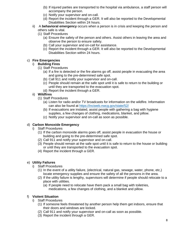- (b) If injured parties are transported to the hospital via ambulance, a staff person will accompany the person.
- (c) Notify your supervisor and on-call.
- (d) Report the incident through a GER. It will also be reported to the Developmental Disabilities Section within 24 hours.
- ii) A **behavioral emergency** occurs when a person is in crisis and keeping the person and others safe is vital.
	- (1) Staff Procedures
		- (a) Ensure the safety of the person and others. Assist others in leaving the area and observe the person to ensure safety.
		- (b) Call your supervisor and on-call for assistance.
		- (c) Report the incident through a GER. It will also be reported to the Developmental Disabilities Section within 24 hours.

### c) **Fire Emergencies**

#### i) **Building Fires**

- (1) Staff Procedures
	- (a) If a fire is detected or the fire alarms go off, assist people in evacuating the area and going to the pre-determined safe spot.
	- (b) Call 911 and notify your supervisor and on-call.
	- (c) People should remain at the safe spot until it is safe to return to the building or until they are transported to the evacuation spot.
	- (d) Report the incident through a GER.

#### ii) **Wildfires**

- (1) Staff Procedures
	- (a) Listen for radio and/or TV broadcasts for information on the wildfire. Information can also be found at<https://inciweb.nwcg.gov/state/52/>
	- (b) If evacuations are instated, assist people with gathering a bag with hygiene supplies, a few changes of clothing, medications, blanket, and pillow.
	- (c) Notify your supervisor and on-call as soon as possible.

#### d) **Carbon Monoxide Emergency**

- i) Staff Procedures
	- (1) If the carbon monoxide alarms goes off, assist people in evacuation the house or building and going to the pre-determined safe spot.
	- (2) Call 911 and notify your supervisor and on-call.
	- (3) People should remain at the safe spot until it is safe to return to the house or building or until they are transported to the evacuation spot.
	- (4) Report the incident through a GER.

#### e) **Utility Failures**

- i) Staff Procedures
	- (1) In the event of a utility failure, (electrical, natural gas, sewage, water, phone, etc,) locate emergency supplies and ensure the safety of all the persons in the area.
	- (2) If the utility failure is lengthy, supervisors will determine if people should relocate to a place with utilities.
		- (a) If people need to relocate have them pack a small bag with toiletries, medications, a few changes of clothing, and a blanket and pillow.

#### f) **Violent Situation**

- i) Staff Procedures
	- (1) If someone feels threatened by another person help them get indoors, ensure that their doors and windows are locked.
	- (2) Call 911 and notify your supervisor and on-call as soon as possible.
	- (3) Report the incident through a GER.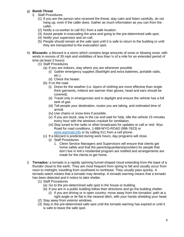#### g) **Bomb Threat**

- i) Staff Procedures
	- (1) If you are the person who received the threat, stay calm and listen carefully, do not hang up, even if the caller does. Gather as much information as you can from the caller.
	- (2) Notify a co-worker to call 911 from a safe location.
	- (3) Assist people in evacuating the area and going to the pre-determined safe spot.
	- (4) Notify your supervisor and on-call.
	- (5) People should remain at the safe spot until it is safe to return to the building or until they are transported to the evacuation spot.
- h) **Blizzards:** a blizzard is a storm which contains large amounts of snow or blowing snow, with winds in excess of 35 mph and visibilities of less than  $\frac{1}{4}$  of a mile for an extended period of time (at least 3 hours)
	- (1) Staff Procedures
		- (a) If you are indoors, stay where you are whenever possible
			- (i) Gather emergency supplies (flashlight and extra batteries, portable radio, etc.).
			- (ii) Check the heater.
		- (b) If on the road
			- (i) Dress for the weather (i.e. layers of clothing are more effective than single thick garments, mittens are warmer than gloves, head and ears should be covered).
			- (ii) Travel only in emergencies and in daylight and ensure the vehicle has a full tank of gas.
			- (iii) Tell people your destination, routes you are taking, and estimated time of arrival.
			- (iv) Use chains or snow tires if possible.
			- (v) If you are stuck, stay in the car and wait for help. Idle the vehicle 15 minutes every hour with the windows cracked for ventilation.
			- (vi) Stay tuned to the radio or other broadcasts for updates or call or visit Wyo Road for road conditions. 1-888-WYO-ROAD (996-7623) or [www.wyoroad.info](http://www.wyoroad.info/) or by calling 511 from a cell phone.
		- (c) If a blizzard is predicted during work hours, day programs will close.
			- (i) Staff Procedures
				- 1. Client Service Managers and Supervisors will ensure that clients get home safely and that the parents/guardians/providers for people that don't live in Ark's residential program are notified and arrangements are made for the clients to get home.
- i) **Tornados:** a tornado is a rapidly spinning funnel-shaped cloud extending from the base of a thunder cloud to the earth. They are most frequent from spring to fall and usually occur from noon to midnight, travelling from southwest to northeast. They usually pass quickly. A tornado watch means that a tornado may develop. A tornado warning means that a tornado has been detected and it notice to take shelter.
	- (1) Staff Procedures
		- (a) Go to the pre-determined safe spot in the house or building.
		- (b) If you are in a public building follow their directions and go the building shelter.
			- (i) If you are driving or in open country: move away from the tornados' path at a right angle or lie flat in the nearest ditch, with your hands shielding your head.
	- (2) Stay away from exterior windows.
	- (3) Stay in the pre-determined safe spot until the tornado warning has expired or until it is safe to leave the safe spot.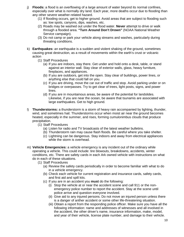- j) **Floods:** a flood is an overflowing of a large amount of water beyond its normal confines, especially over what is normally dry land. Each year, more deaths occur due to flooding than any other severe weather-related hazard.
	- (1) If flooding occurs, get to higher ground. Avoid areas that are subject to flooding such as: low spots, canyons, dips, washes, etc.
	- (2) Roads may be washed out under the flood water. **Never** attempt to drive or walk through a flooded area. **"Turn Around Don't Drown"** (NOAA National Weather Service campaign).
	- (3) Do not camp or park your vehicle along streams and washes, particularly during threating conditions.
- k) **Earthquakes:** an earthquake is a sudden and violent shaking of the ground, sometimes causing great destruction, as a result of movements within the earth's crust or volcanic action
	- (1) Staff Procedures
		- (a) If you are indoors, stay there. Get under and hold onto a desk, table, or stand against an interior wall. Stay clear of exterior walls, glass, heavy furniture, fireplaces, and appliances.
		- (b) If you are outdoors, get into the open. Stay clear of buildings, power lines, or anything else that could fall on you.
		- (c) If you are driving, move the car out of traffic and stop. Avoid parking under or on bridges or overpasses. Try to get clear of trees, light posts, signs, and power lines.
		- (d) If you are in mountainous areas, be aware of the potential for landslides. Likewise, if you are near the ocean, be aware that tsunamis are associated with large earthquakes. Get to high ground.
- l) **Thunderstorms:** a thunderstorm is a storm of heavy rain accompanied by lighting, thunder, wind, and sometimes hail. Thunderstorms occur when moist air near the ground becomes heated, especially in the summer, and rises, forming cumulonimbus clouds that produce precipitation.
	- (1) Staff Procedures
		- (a) Listen for radio and TV broadcasts of the latest weather bulletins.
		- (b) Thunderstorm rain may cause flash floods. Be careful where you take shelter.
		- (c) Lightning can be dangerous. Stay indoors and away from electrical appliances while the storm is overhead.
- m) **Vehicle Emergencies:** a vehicle emergency is any incident out of the ordinary while operating a vehicle. This could include: tire blowouts, breakdowns, accidents, winter conditions, etc. There are safety cards in each Ark owned vehicle with instructions on what do in each of these situations.
	- (1) Staff Procedures
		- (a) Review the safety cards periodically in order to become familiar with what to do in a vehicle emergency.
		- (b) Check each vehicle for current registration and insurance cards, safety cards, and first aid and spill kits.
		- (c) If you are in an accident you **must** do the following:
			- (i) Stop the vehicle at or near the accident scene and call 911 or the nonemergency police number to report the accident. Stay at the scene until police arrive and question everyone involved.
			- (ii) Give aid to any injured persons. Do not move an injured person unless there is a danger of anther accident or some other life-threatening situation.
			- (iii) Obtain a report from the responding police officer. Make sure you have all the following information: name and addresses of witnesses and all involved in the accident, the other driver's name, insurance information, make, model, and year of their vehicle, license plate number, and damage to their vehicle.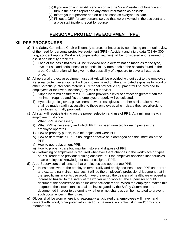- (iv) If you are driving an Ark vehicle contact the Vice President of Finance and turn in the police report and any other information as possible.
- (v) Inform your supervisor and on-call as soon as everyone is safe.
- (vi) Fill out a GER for any persons served that were involved in the accident and a blue staff incident report for yourself.

### **PERSONAL PROTECTIVE EQUIPMENT (PPE)**

### <span id="page-10-0"></span>**XII. PPE PROCEDURES**

- a) The Safety Committee Chair will identify sources of hazards by completing an annual review of the need for personal protective equipment (PPE). Accident and injury data (OSHA 300 Log, accident reports, Worker's Compensation injuries) will be considered and reviewed to assist and identify problems.
	- i) Each of the basic hazards will be reviewed and a determination made as to the type, level of risk, and seriousness of potential injury from each of the hazards found in the area. Consideration will be given to the possibility of exposure to several hazards at once.
- b) All personal protective equipment used at Ark will be provided without cost to the employee. Personal protective equipment will be chosen based on the anticipated exposure to blood or other potentially infectious materials. Personal protective equipment will be provided to employees at their work location(s) by their supervisor.
	- i) Supervisors will ensure that PPE which provides a level of protection greater than the minimum required and fits the employee properly will be selected.
	- ii) Hypoallergenic gloves, glove liners, powder-less gloves, or other similar alternatives shall be made readily accessible to those employees who indicate they are allergic to the gloves normally provided.
- c) All staff will receive training on the proper selection and use of PPE. At a minimum each employee must know:
	- i) When PPE is necessary.
	- ii) What PPE is necessary and which PPE has been selected for each process the employee operates.
	- iii) How to properly put on, take off, adjust and wear PPE.
	- iv) How to determine if PPE is no longer effective or is damaged and the limitation of the PPE.
	- v) How to get replacement PPE.
	- vi) How to properly care for, maintain, store and dispose of PPE.
	- vii) Retraining of employees is required whenever there changes in the workplace or types of PPE render the previous training obsolete, or if the employer observes inadequacies in an employees' knowledge or use of assigned PPE.
- d) Area Supervisors shall ensure that employees use appropriate PPE.
	- i) In instances where the employee temporarily and briefly declines to use PPE under rare and extraordinary circumstances, it will be the employee's professional judgment that in the specific instance its use would have prevented the delivery of healthcare or posed an increased hazard to the safety of the worker or co-worker. The supervisor should document the occurrence on an incident/accident report. When the employee makes this judgment, the circumstances shall be investigated by the Safety Committee and documented in order to determine whether or not changes can be instituted to prevent such occurrences in the future.
- e) Gloves shall be worn where it is reasonably anticipated that employees will have hand contact with blood, other potentially infectious materials, non-intact skin, and/or mucous membranes.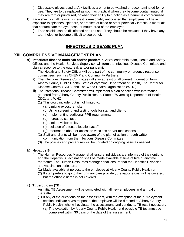- i) Disposable gloves used at Ark facilities are not to be washed or decontaminated for reuse. They are to be replaced as soon as practical when they become contaminated, if they are torn or punctured, or when their ability to function as a barrier is compromised.
- f) Face shields shall be used where it is reasonably anticipated that employees will have exposure to splashes, splatters, or droplets of blood or other potentially infectious materials that contaminate the eye, nose, or mouth area of the employee.
	- i) Face shields can be disinfected and re-used. They should be replaced if they have any tear, holes, or become difficult to see out of.

# **INFECTIOUS DISEASE PLAN**

### <span id="page-11-0"></span>**XIII. COMPRHENSIVE MANAGEMENT PLAN**

- a) **Infectious disease outbreak and/or pandemic.** Ark's leadership team, Health and Safety Officer, and the Health Services Supervisor will form the Infectious Disease Committee and plan a response to the outbreak and/or pandemic.
	- i) The Health and Safety Officer will be a part of the community emergency response committees, such as CHEMP and Community Partners.
	- ii) The Infectious Disease Committee will stay abreast of all current information from Albany County Public Health, State of Wyoming Department of Health, The Center for Disease Control (CDD), and The World Health Organization (WHO).
	- iii) The Infectious Disease Committee will implement a plan of action with information gathered from Albany County Public Health, State of Wyoming Department of Health, CDC, and WHO.
		- (1) This could include, but is not limited to:
			- (a) Limiting exposure risks
			- (b) Using screening and testing tools for staff and clients
			- (c) Implementing additional PPE requirements
			- (d) Increased sanitation
			- (e) Limited visitor policy
			- (f) Isolation of affected locations/staff
			- (g) Information about or access to vaccines and/or medications
		- (2) Staff and clients will be made aware of the plan of action through written communication from the Infectious Disease Committee
		- (3) The policies and procedures will be updated on ongoing basis as needed

### b) **Hepatitis B**

- i) The Human Resources Manager shall ensure individuals are informed of their options and the Hepatitis B vaccination shall be made available at time of hire or anytime thereafter. The Human Resources Manager shall ensure that the Hepatitis B vaccine and vaccination series are:
	- (1) Made available at no cost to the employee at Albany County Public Health or
	- (2) If staff prefers to go to their primary care provider, the vaccine cost will be covered, but the office visit fee is not covered.

### c) **Tuberculosis (TB)**

- i) An initial TB Assessment will be completed with all new employees and annually thereafter
	- (1) If any of the questions on the assessment, with the exception of the "Employment" section, indicate a yes response, the employee will be directed to Albany County Public Health, who will evaluate the assessment, and conduct a TB test if necessary
		- (a) The evaluation by Albany County Public Health and possible TB test must be completed within 30 days of the date of the assessment.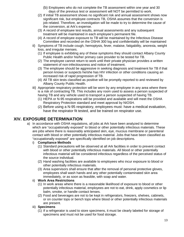- (b) Employees who do not complete the TB assessment within one year and 30 days of the previous test or assessment will NOT be permitted to work.
- (2) If initial TB assessment shows no significant risk and annual assessment shows now significant risk, but employee contracts TB, OSHA assumes that the conversion is job related. Therefore, an investigation will be made to try to determine the cause of the conversion, at Ark's expense.
- (3) A record of employee test results, annual assessments and any subsequent treatment will be maintained in each employee's permanent file.
- (4) A record of employee exposure to TB will be maintained by the Infectious Disease Committee and recorded on the OSHA 300 log and confidentiality will be maintained
- ii) Symptoms of TB include cough, hemoptysis, fever, malaise, fatigability, anorexia, weight loss, and irregular menses.
	- (1) If employee is exhibiting any of these symptoms they should contact Albany County Public Health and/or his/her primary care provider to be tested for TB.
	- (2) The employee cannot return to work until their private physician provides a written statement of non-infectiousness and notice of treatment.
	- (3) The employee should be aggressive in seeking diagnosis and treatment for TB if that person knows or suspects he/she has HIV infection or other conditions causing an increased risk of rapid progression of TB.
	- (4) All TB skin tests classified as positive will be promptly reported to and reviewed by Albany County Public Health.
- iii) Appropriate respiratory protection will be worn by any employee in any area where there is a risk of contracting TB. This includes any room used to assess a person suspected of having TB and any vehicle used to transport a person suspected of having TB.
	- (1) HEPA or N-95 respirations will be provided and available and will meet the OSHA Respiratory Protection standard and meet approval by NIOSH.
	- (2) Before using a N-95 respiratory, employees must: have a medical evaluation, have the respirator fit tested, and be trained on respirator use.

# <span id="page-12-0"></span>**XIV. EXPOSURE DETERMINATION**

- a) In accordance with OSHA regulations, all jobs at Ark have been analyzed to determine which are "occupationally exposed" to blood or other potentially infectious materials. These are jobs where there is reasonably anticipated skin, eye, mucous membrane or parenteral contact with blood or other potentially infectious material. Jobs that have been classified as "occupationally exposed" are specifically identified on job descriptions.
	- i) **Compliance Methods**
		- (1) Standard precautions will be observed at all Ark facilities in order to prevent contact with blood or other potentially infectious materials. All blood or other potentially infectious material will be considered infectious regardless of the perceived status of the source individual.
		- (2) Hand washing facilities are available to employees who incur exposure to blood or other potentially infectious materials.
		- (3) Area supervisors shall ensure that after the removal of personal protective gloves, employees shall wash hands and any other potentially contaminated skin area immediately, or as soon as feasible, with soap and water.

### ii) **Work Area Restrictions**

- (1) In work areas where there is a reasonable likelihood of exposure to blood or other potentially infectious material, employees are not to eat, drink, apply cosmetics or lip balm, smoke, or handle contact lenses.
- (2) Food and beverages are not to be kept in refrigerators, freezers, shelves, cabinets, or on counter tops or bench tops where blood or other potentially infectious materials are present.
- iii) **Specimens**
	- (1) If a refrigerator is used to store specimens, it must be clearly labeled for storage of specimens and must not be used for food storage.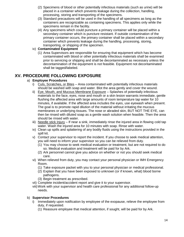- (2) Specimens of blood or other potentially infectious materials (such as urine) will be placed in a container which prevents leakage during the collection, handling, processing, storing and transporting of the specimens.
- (3) Standard precautions will be used in the handling of all specimens as long as the containers are recognizable as containing specimens. This applies only while the specimens remain in the facility.
- (4) Any specimens which could puncture a primary container will be placed within a secondary container which is puncture resistant. If outside contamination of the primary container occurs, the primary container shall be placed within a secondary container which prevents leakage during the handling, processing, storing, transporting, or shipping of the specimen.

#### iv) **Contaminated Equipment**

(1) Area Supervisors are responsible for ensuring that equipment which has become contaminated with blood or other potentially infectious materials shall be examined prior to servicing or shipping and shall be decontaminated as necessary unless the decontamination of the equipment is not feasible. Equipment not decontaminated shall be tagged/labeled.

### <span id="page-13-0"></span>**XV. PROCEDURE FOLLOWING EXPOSURE**

### a) **Employee Procedures**

- i) Cuts, Scratches, or Bites Area contaminated with potentially infectious materials should be washed with soap and water. Blot the area gently and cover the wound.
- ii) Eye, Mouth, and Mucous Membrane Exposure Splashes of potentially infectious materials to the face, eyes, nose and mouth or a skin lesion warrants immediate, gentle flushing the affected area with large amounts of room temperature tap water for 10 minutes, if available. If the affected area includes the eyes, use eyewash when present. The goal is to promote rapid dilution of the material without irritating the mucous membranes or underlying tissues. The nose or abraded skin, BUT NOT THE EYE, can then be rinsed with diluted soap as a gentle wash solution when feasible. Then the area should be rinsed with water.
- iii) Needle stick Injury If near a sink, immediately rinse the injured area in flowing cold tap water. Wash the injured area for 10 minutes with soap. Rinse with water.
- iv) Clean up spills and splattering of any bodily fluids using the instructions provided in the spill kit.
- v) Contact your supervisor to report the incident. If you choose to seek medical attention, you will need to inform your supervisor so you can be relieved from duty.
	- (1) You may choose to seek medical evaluation or treatment, but are not required to do so. Medical evaluation and treatment will be paid for by Ark.
	- (2) Ark personnel cannot give you advice on whether or not you should seek medical care.
- vi) When relieved from duty, you may contact your personal physician or IMH Emergency Room.
	- (1) Take exposure packet with you to your personal physician or medical professional.
	- (2) Explain that you have been exposed to unknown (or if known, what) blood borne pathogens.
	- (3) Begin treatment as prescribed.
- vii) Complete incident/accident report and give it to your supervisor.
- viii)Work with your supervisor and health care professional for any additional follow-up needs.

#### b) **Supervisor Procedures**

- i) Immediately upon notification by employee of the exopause, relieve the employee from duty, if requested.
	- (1) Reassure employee that medical attention, if sought, will be paid for by Ark.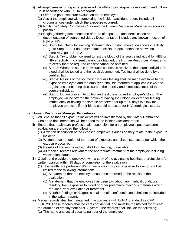- ii) All employees incurring an exposure will be offered post-exposure evaluation and followup in accordance with OSHA standards.
	- (1) Offer the post-exposure evaluation to the employee.
	- (2) Assist the employee with completing the incident/accident report. Include all circumstances under which the exposure occurred.
	- (3) Notify the Safety Committee Chair and the Human Resources Manager as soon as possible.
	- (4) Begin gathering documentation of route of exposure, and identification and documentation of source individual. Documentation includes any known infection of HBV or HIV.
		- (a) Step One: check for exciting documentation. If documentation shows infectivity, go to Step Four. If no documentation exists, or documentation shows no infectivity, go to Step 2.
		- (b) Step 2: Try to obtain consent to test the blood of the source individual for HBB or HIV infectivity. If consent cannot be obtained, the Human Resources Manager is to certify that the required consent cannot be obtained.
		- (c) Step 3: When the source individual's consent is received, the source individual's blood shall be tested and the result documented. Testing shall be done by a certified lab.
		- (d) Step 4: Results of the source individual's testing shall be made available to the exposed employee and the employee shall be informed of applicable laws and regulations concerning disclosure of the identity and infectious status of the source individual.
		- (e) Step 5: Obtain consent to collect and test the exposed employee's blood. The employee will be offered the option of having their blood collected for testing immediately or having the sample preserved for up to 90 days to allow the employee to decide if their blood should be tested for HIV serological status.

### c) **Human Resources Manager Procedures**

- i) Will ensure that all exposure incidents will be investigated by the Safety Committee Chair and documentation will be added to the incident/accident report.
- ii) Ensure that healthcare professionals responsible for an employee's post exposure evaluation are provided the following:
	- (1) A written description of the exposed employee's duties as they relate to the exposure incident.
	- (2) Written documentation of the route of exposure and circumstances under which the exposure occurred.
	- (3) Results of the source individual's blood testing, if available.
	- (4) All medical records relevant to the appropriate treatment of the employee including vaccination status.
- iii) Obtain and provide the employee with a copy of the evaluating healthcare professional's written opinion within 15 days of completion of the evaluation.
	- (1) The healthcare professional's written opinion for post exposure follow-up shall be limited to the following information:
		- (a) A statement that the employee has been informed of the results of the evaluation.
		- (b) A statement that the employee has been told about any medical conditions resulting from exposure to blood or other potentially infectious materials which require further evaluation or treatment.
		- (c) All other findings or diagnosis shall remain confidential and shall not be included in the written report.
- iv) Medial records shall be maintained in accordance with OSHA Standard 29 CFR 1910.20. These records shall be kept confidential, and must be maintained for at least the duration of employment plus 30 years. The records shall include the following:
	- (1) The name and social security number of the employee.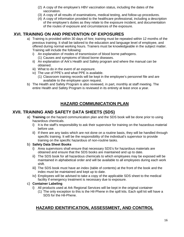- (2) A copy of the employee's HBV vaccination status, including the dates of the vaccination.
- (3) A copy of all results of examinations, medical testing, and follow-up procedures.
- (4) A copy of information provided to the healthcare professional, including a description of the employee's duties as they relate to the exposure incident, and documentation of the routes of exposure and circumstances of the exposure.

# <span id="page-15-0"></span>**XVI. TRAINING ON AND PREVENTION OF EXPOSURES**

- a) Training is provided within 30 days of hire; training must be repeated within 12 months of the previous training. It shall be tailored to the education and language level of employee, and offered during normal working hours. Trainers must be knowledgeable in the subject matter. Training will include the following:
	- i) An explanation of modes of transmission of blood borne pathogens. (1) Causes and symptoms of blood borne diseases.
	- ii) An explanation of Ark's Health and Safety program and where the manual can be obtained.
	- iii) What to do in the event of an exposure.
	- iv) The use of PPE's and what PPE is available.
		- (1) Classroom training records will be kept in the employee's personnel file and are available to the employee upon request.
- b) The Health and Safety Program is also reviewed, in part, monthly at staff meeting. The entire Health and Safety Program is reviewed in its entirety at least once a year.

# **HAZARD COMMUNICATION PLAN**

# **XVII. TRAINING AND SAFETY DATA SHEETS (SDS)**

- <span id="page-15-1"></span>a) **Training** on the hazard communication plan and the SDS book will be done prior to using hazardous chemicals.
	- i) It is the staff's responsibility to ask their supervisor for training on the hazardous material before use.
	- ii) If there are any tasks which are not done on a routine basis, they will be handled through specific training. It will be the responsibility of the individual's supervisor to provide training on the specific hazardous of non-routine tasks.

### b) **Safety Data Sheet Books**

- i) Area supervisors shall ensure that necessary SDS's for hazardous materials are obtained and ensure that the SDS books are maintained and up to date.
- ii) The SDS book for all hazardous chemicals to which employees may be exposed will be maintained in alphabetical order and will be available to all employees during each work shift.
- iii) The SDS book must have an index (table of contents) at the front of the book and the index must be maintained and kept up to date.
- iv) Employees will be advised to take a copy of the applicable SDS sheet to the medical facility if emergency treatment is necessary due to exposure.

### c) **Container Labeling**

- i) All products used at Ark Regional Services will be kept in the original container
	- (1) The only exception to this is the Hil-Phene in the spill kits. Each spill kit will have a SDS for the Hil-Phene.

# **HAZARD IDENTIFICATION, ASSESSMENT, AND CONTROL**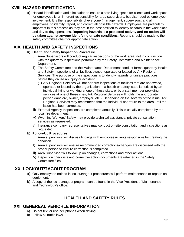# **XVIII. HAZARD IDENTIFICATION**

<span id="page-16-0"></span>a) Hazard identification and elimination to ensure a safe living space for clients and work space for employees is an inherent responsibility for area supervisors, but also requires employee involvement. It is the responsibility of everyone (management, supervisors, and all employees) to identify, report, and correct all possible hazards. Employees are particularly important in this process as they are in the best position to identify hazards in the work place and day-to-day operations. **Reporting hazards is a protected activity and no action will be taken against anyone identifying unsafe conditions.** Reports should be made to the safety committee chair for appropriate action.

# <span id="page-16-1"></span>**XIX. HEALTH AND SAFETY INSPECTIONS**

### a) **Health and Safety Inspection Procedure**

- i) Area Supervisors will conduct regular inspections of the work area, not in conjunction with the quarterly inspections performed by the Safety Committee and Maintenance Department.
- ii) The Safety Committee and the Maintenance Department conduct formal quarterly Health and Safety Inspections of all facilities owned, operated or leased by Ark Regional Services. The purpose of the inspections is to identify hazards or unsafe practices before they cause an injury or accident.
	- (1) Ark Regional Services will not perform inspections of facilities that are not owned, operated or leased by the organization. If a health or safety issue is noticed by an individual living or working at one of these sites, or by a staff member providing services at one of these sites, Ark Regional Services will notify the appropriate person (landlord, owner, employer, etc.). Depending on the severity of the issue, Ark Regional Services may recommend that the individual not return to the area until the issue has been corrected.
- iii) External Agency Inspections are completed annually. This is usually completed by the local fire department.
- iv) Wyoming Workers' Safety may provide technical assistance, private consultation services as requested.
- v) Insurance company representatives may conduct on-site consultation and inspections as requested.
- b) **Follow-Up Procedures**
	- i) Area supervisors will discuss findings with employees/clients responsible for creating the condition.
	- ii) Area supervisors will ensure recommended corrections/changes are discussed with the proper person to ensure correction is completed.
	- iii) Area Supervisor will follow-up on changes, corrections and other actions.
	- iv) Inspection checklists and corrective action documents are retained in the Safety Committee files.

# <span id="page-16-2"></span>**XX. LOCKOUT/TAGOUT PROGRAM**

- a) Only employees trained in lockout/tagout procedures will perform maintenance or repairs on equipment.
- b) A copy of the lockout/tagout program can be found in the Vice President of Maintenance and Technology's office.

# **HEALTH AND SAFETY RULES**

### <span id="page-16-3"></span>**XXI. GENEREAL VEHICHLE INFORMATION**

- a) Do not text or use cell phones when driving.
- b) Follow all traffic laws.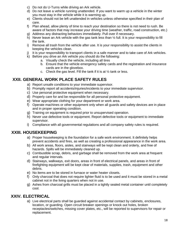- c) Do not do U-Turns while driving an Ark vehicle.
- d) Do not leave a vehicle running unattended. If you want to warm up a vehicle in the winter you must stay in the vehicle while it is warming up.
- e) Clients should not be left unattended in vehicles unless otherwise specified in their plan of care.
- f) Plan ahead, allow plenty of time to reach your destination so there is not need to rush. Be aware of factors that may increase your driving time (weather, traffic, road construction, etc.)
- g) Address any distracting behaviors immediately. Pull over if necessary.
- h) Never leave an Ark vehicle with the gas tank less than  $\frac{1}{2}$  full. It is your responsibility to fill the tank.
- i) Remove all trash from the vehicle after use. It is your responsibility to assist the clients in keeping the vehicles clean.
- j) It is your responsibility to transport clients in a safe manner and to take care of Ark vehicles.
- k) Before you drive an Ark vehicle you should do the following:
	- a. Visually check the vehicle, including all tires
	- b. Ensure that the vehicle emergency safety cards and the registration and insurance cards are in the glovebox.
	- c. Check the gas level. Fill the tank if it is at  $\frac{1}{2}$  tank or less.

# **XXII. GENERAL WORK PLACE SAFETY RULES**

- <span id="page-17-0"></span>a) Report unsafe conditions to your immediate supervisor.
- b) Promptly report all accidents/injuries/incidents to your immediate supervisor.
- c) Use personal protective equipment when necessary.
- d) Properly care for and be responsible for all personal protective equipment.
- e) Wear appropriate clothing for your department or work area.
- f) Operate machines or other equipment only when all guards and safety devices are in place and in proper operating condition.
- g) Training on equipment is required prior to unsupervised operation.
- h) Never use defective tools or equipment. Report defective tools or equipment to immediate supervisor.
- <span id="page-17-1"></span>i) Compliance with all governmental regulations and all company safety rules is required.

### **XXIII. HOUSEKEEPING**

- a) Proper housekeeping is the foundation for a safe work environment. It definitely helps prevent accidents and fires, as well as creating a professional appearance in the work area.
- b) All work areas, floors, aisles, and stairways will be kept clean and orderly, and free of hazards. Spills will be immediately cleaned up.
- c) Combustible scrap, debris, and garbage shall be removed from the work area at frequent and regular intervals.
- d) Stairways, walkways, exit doors, areas in front of electrical panels, and areas in front of firefighting equipment will be kept clear of materials, supplies, trash, equipment and other debris.
- e) No items are to be stored in furnace or water heater closets.
- f) Only charcoal that does not require lighter fluid is to be used and it must be stored in a metal cabinet not in the living quarters when not in use.
- <span id="page-17-2"></span>g) Ashes from charcoal grills must be placed in a tightly sealed metal container until completely cool.

# **XXIV. ELECTRICAL**

a) Live electrical parts shall be guarded against accidental contact by cabinets, enclosures, location, or guarding. Open circuit breaker openings or knock out holes, broken receptacles/switches, missing cover plates, etc., will be reported to supervisors for repair or replacement.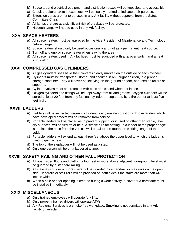- b) Space around electrical equipment and distribution boxes will be kept clear and accessible.
- c) Circuit breakers, switch boxes, etc., will be legibly marked to indicate their purpose.
- d) Extension cords are not to be used in any Ark facility without approval from the Safety Committee Chair.
- e) All lamps that are at a significant risk of breakage will be protected.
- <span id="page-18-0"></span>f) Halogen lamps will not be used in any Ark facility.

# **XXV. SPACE HEATERS**

- a) All space heaters must be approved by the Vice President of Maintenance and Technology before usage.
- b) Space heaters should only be used occasionally and not as a permanent heat source.
- c) Turn off and unplug space heater when leaving the area.
- <span id="page-18-1"></span>d) All space heaters used in Ark facilities must be equipped with a tip over switch and a heat limit switch.

# **XXVI. COMPRESSED GAS CYLINDERS**

- a) All gas cylinders shall have their contents clearly marked on the outside of each cylinder.
- b) Cylinders must be transported, stored, and secured in an upright position, in a proper storage container. They will never be left lying on the ground or floor, nor used as rollers or supports.
- c) Cylinder valves must be protected with caps and closed when not in use.
- d) Oxygen cylinders and fittings will be kept away from oil and grease. Oxygen cylinders will be stored at least 20 feet from any fuel gas cylinder, or separated by a fire barrier at least five feet high.

# **XXVII. LADDERS**

- <span id="page-18-2"></span>a) Ladders will be inspected frequently to identify any unsafe conditions. Those ladders which have developed defects will be removed from service.
- b) Portable ladders will be placed as to prevent slipping, or if used on other than stable, level, dry surfaces, will be tied off or held. A simple rule for setting up a ladder at the proper angle is to place the base from the vertical wall equal to one-fourth the working length of the ladder.
- c) Portable ladders will extend at least three feet above the upper level to which the ladder is used to gain access.
- d) The top of the stepladder will not be used as a step.
- <span id="page-18-3"></span>e) Only one person will be on a ladder at a time.

# **XXVIII. SAFETY RAILING AND OTHER FALL PROTECTION**

- a) All open sided floors and platforms four feet or more above adjacent floor/ground level must be guarded by a standard railing.
- b) All stairways of four or more risers will be guarded by a handrail, or stair rails on the open side. Handrails or stair rails will be provided on both sides if the stairs are more than 44 inches wide.
- <span id="page-18-4"></span>c) When a hole or floor opening is created during a work activity, a cover or a barricade must be installed immediately.

# **XXIX. MISCELLANEOUS**

- a) Only trained employees will operate fork lifts.
- b) Only properly trained drivers will operate ATVs.
- c) Ark Regional Services is a smoke free workplace. Smoking is not permitted in any Ark facility or vehicle.